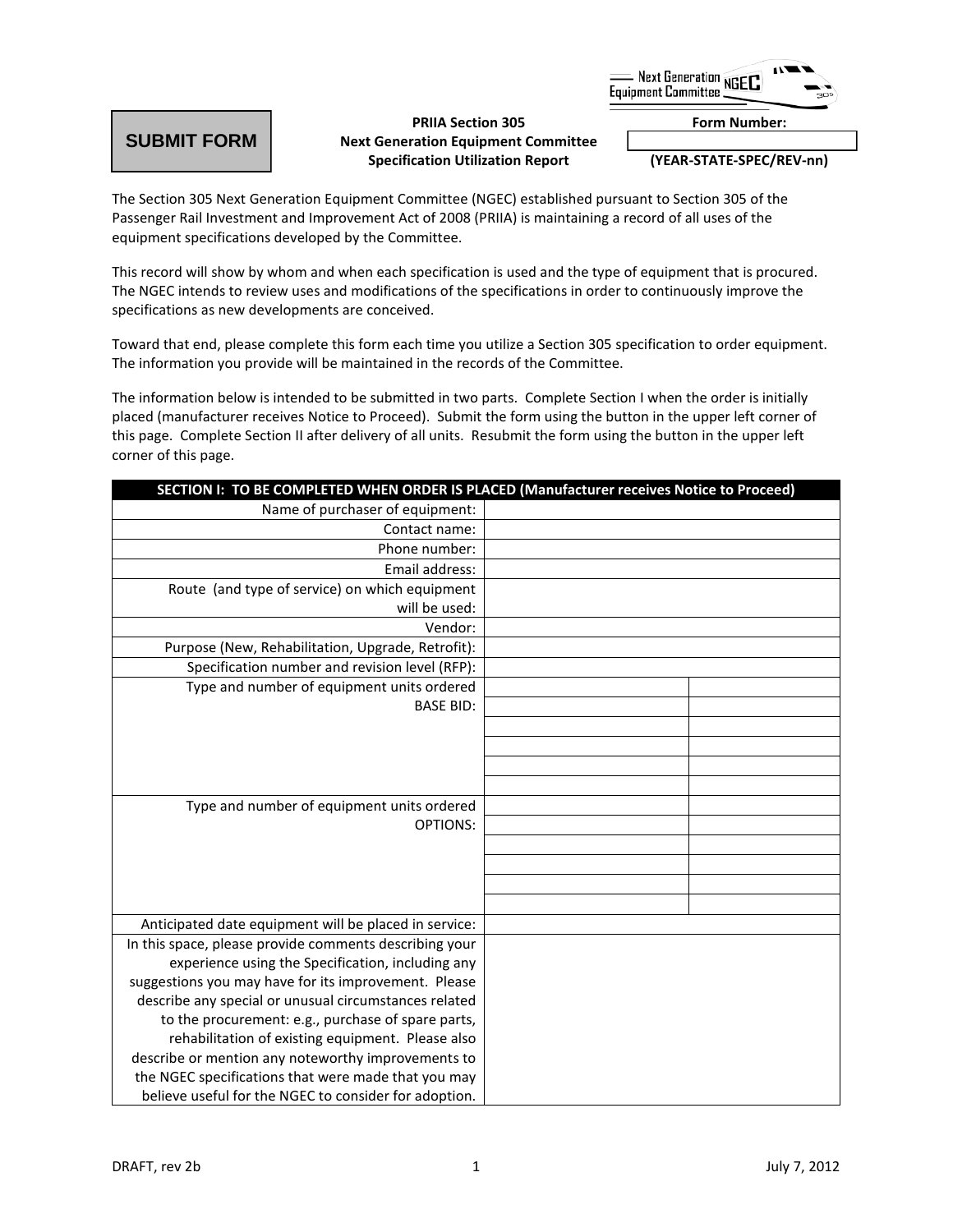

**SUBMIT FORM SUBMIT FORM**

## **PRIIA Section 305 Form Number: Next Generation Equipment Committee Specification Utilization Report (YEAR-STATE-SPEC/REV-nn)**

The Section 305 Next Generation Equipment Committee (NGEC) established pursuant to Section 305 of the Passenger Rail Investment and Improvement Act of 2008 (PRIIA) is maintaining a record of all uses of the equipment specifications developed by the Committee.

This record will show by whom and when each specification is used and the type of equipment that is procured. The NGEC intends to review uses and modifications of the specifications in order to continuously improve the specifications as new developments are conceived.

Toward that end, please complete this form each time you utilize a Section 305 specification to order equipment. The information you provide will be maintained in the records of the Committee.

The information below is intended to be submitted in two parts. Complete Section I when the order is initially placed (manufacturer receives Notice to Proceed). Submit the form using the button in the upper left corner of this page. Complete Section II after delivery of all units. Resubmit the form using the button in the upper left corner of this page.

| SECTION I: TO BE COMPLETED WHEN ORDER IS PLACED (Manufacturer receives Notice to Proceed) |  |  |
|-------------------------------------------------------------------------------------------|--|--|
| Name of purchaser of equipment:                                                           |  |  |
| Contact name:                                                                             |  |  |
| Phone number:                                                                             |  |  |
| Email address:                                                                            |  |  |
| Route (and type of service) on which equipment                                            |  |  |
| will be used:                                                                             |  |  |
| Vendor:                                                                                   |  |  |
| Purpose (New, Rehabilitation, Upgrade, Retrofit):                                         |  |  |
| Specification number and revision level (RFP):                                            |  |  |
| Type and number of equipment units ordered                                                |  |  |
| <b>BASE BID:</b>                                                                          |  |  |
|                                                                                           |  |  |
|                                                                                           |  |  |
|                                                                                           |  |  |
|                                                                                           |  |  |
| Type and number of equipment units ordered                                                |  |  |
| <b>OPTIONS:</b>                                                                           |  |  |
|                                                                                           |  |  |
|                                                                                           |  |  |
|                                                                                           |  |  |
|                                                                                           |  |  |
| Anticipated date equipment will be placed in service:                                     |  |  |
| In this space, please provide comments describing your                                    |  |  |
| experience using the Specification, including any                                         |  |  |
| suggestions you may have for its improvement. Please                                      |  |  |
| describe any special or unusual circumstances related                                     |  |  |
| to the procurement: e.g., purchase of spare parts,                                        |  |  |
| rehabilitation of existing equipment. Please also                                         |  |  |
| describe or mention any noteworthy improvements to                                        |  |  |
| the NGEC specifications that were made that you may                                       |  |  |
| believe useful for the NGEC to consider for adoption.                                     |  |  |